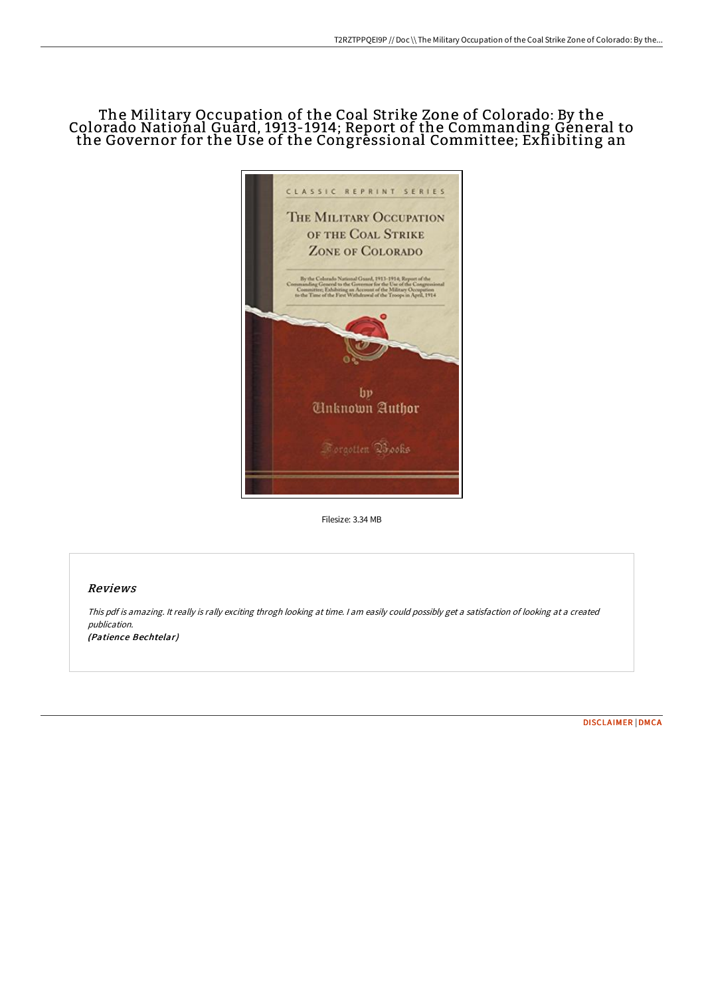# The Military Occupation of the Coal Strike Zone of Colorado: By the Colorado National Guard, 1913-1914; Report of the Commanding Géneral to the Governor for the Use of the Congressional Committee; Exhibiting an



Filesize: 3.34 MB

## Reviews

This pdf is amazing. It really is rally exciting throgh looking at time. <sup>I</sup> am easily could possibly get <sup>a</sup> satisfaction of looking at <sup>a</sup> created publication. (Patience Bechtelar)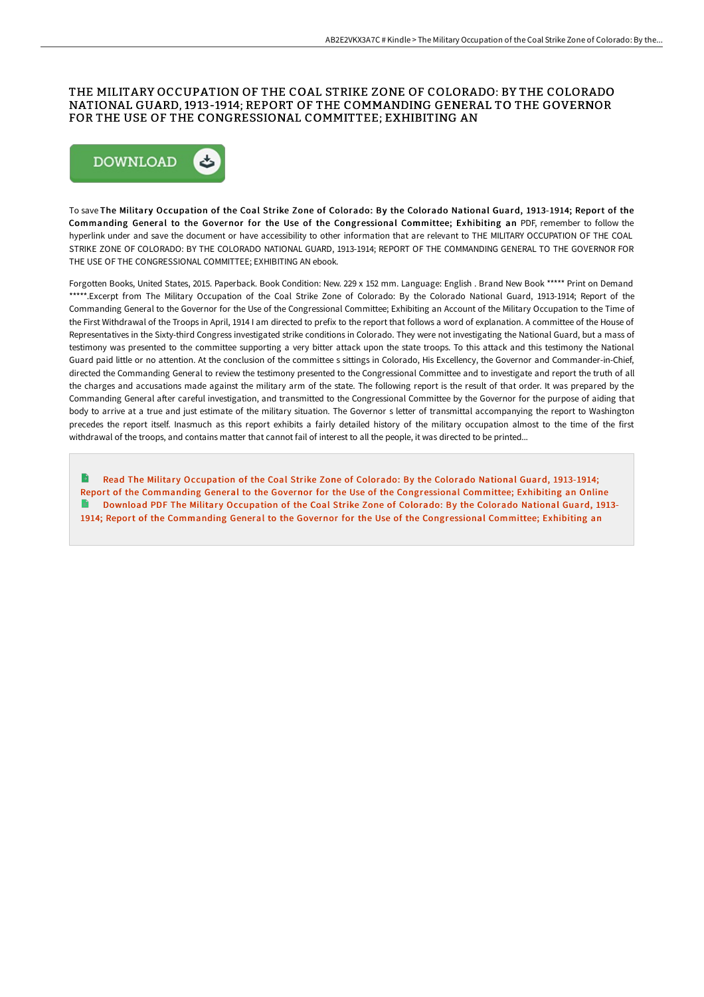### THE MILITARY OCCUPATION OF THE COAL STRIKE ZONE OF COLORADO: BY THE COLORADO NATIONAL GUARD, 1913-1914; REPORT OF THE COMMANDING GENERAL TO THE GOVERNOR FOR THE USE OF THE CONGRESSIONAL COMMITTEE; EXHIBITING AN



To save The Military Occupation of the Coal Strike Zone of Colorado: By the Colorado National Guard, 1913-1914; Report of the Commanding General to the Governor for the Use of the Congressional Committee; Exhibiting an PDF, remember to follow the hyperlink under and save the document or have accessibility to other information that are relevant to THE MILITARY OCCUPATION OF THE COAL STRIKE ZONE OF COLORADO: BY THE COLORADO NATIONAL GUARD, 1913-1914; REPORT OF THE COMMANDING GENERAL TO THE GOVERNOR FOR THE USE OF THE CONGRESSIONAL COMMITTEE; EXHIBITING AN ebook.

Forgotten Books, United States, 2015. Paperback. Book Condition: New. 229 x 152 mm. Language: English . Brand New Book \*\*\*\*\* Print on Demand \*\*\*\*\*.Excerpt from The Military Occupation of the Coal Strike Zone of Colorado: By the Colorado National Guard, 1913-1914; Report of the Commanding General to the Governor for the Use of the Congressional Committee; Exhibiting an Account of the Military Occupation to the Time of the First Withdrawal of the Troops in April, 1914 I am directed to prefix to the report that follows a word of explanation. A committee of the House of Representatives in the Sixty-third Congress investigated strike conditions in Colorado. They were not investigating the National Guard, but a mass of testimony was presented to the committee supporting a very bitter attack upon the state troops. To this attack and this testimony the National Guard paid little or no attention. At the conclusion of the committee s sittings in Colorado, His Excellency, the Governor and Commander-in-Chief, directed the Commanding General to review the testimony presented to the Congressional Committee and to investigate and report the truth of all the charges and accusations made against the military arm of the state. The following report is the result of that order. It was prepared by the Commanding General after careful investigation, and transmitted to the Congressional Committee by the Governor for the purpose of aiding that body to arrive at a true and just estimate of the military situation. The Governor s letter of transmittal accompanying the report to Washington precedes the report itself. Inasmuch as this report exhibits a fairly detailed history of the military occupation almost to the time of the first withdrawal of the troops, and contains matter that cannot fail of interest to all the people, it was directed to be printed...

Read The Military Occupation of the Coal Strike Zone of Colorado: By the Colorado National Guard, 1913-1914; Report of the Commanding General to the Governor for the Use of the [Congressional](http://albedo.media/the-military-occupation-of-the-coal-strike-zone-.html) Committee; Exhibiting an Online Download PDF The Military Occupation of the Coal Strike Zone of Colorado: By the Colorado National Guard, 1913-1914; Report of the Commanding General to the Governor for the Use of the [Congressional](http://albedo.media/the-military-occupation-of-the-coal-strike-zone-.html) Committee; Exhibiting an